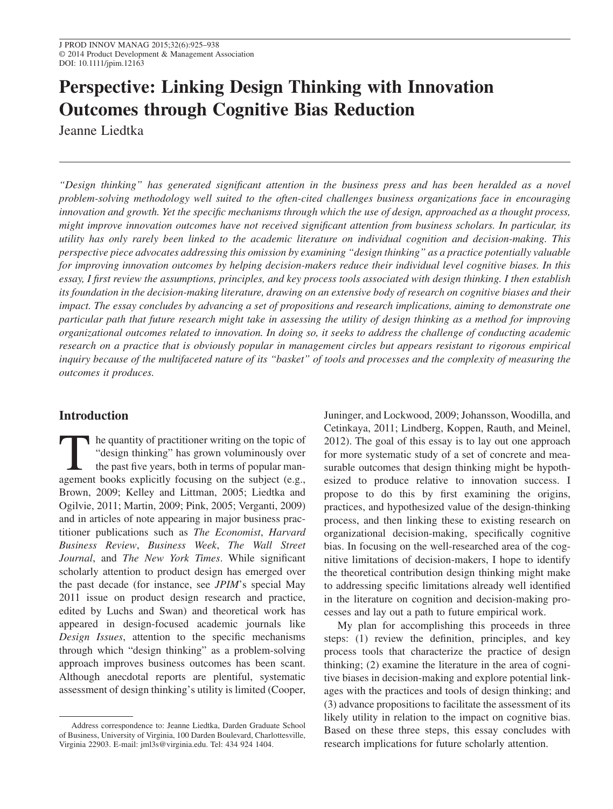# **Perspective: Linking Design Thinking with Innovation Outcomes through Cognitive Bias Reduction**

Jeanne Liedtka

*"Design thinking" has generated significant attention in the business press and has been heralded as a novel problem-solving methodology well suited to the often-cited challenges business organizations face in encouraging innovation and growth. Yet the specific mechanisms through which the use of design, approached as a thought process, might improve innovation outcomes have not received significant attention from business scholars. In particular, its utility has only rarely been linked to the academic literature on individual cognition and decision-making. This perspective piece advocates addressing this omission by examining "design thinking" as a practice potentially valuable for improving innovation outcomes by helping decision-makers reduce their individual level cognitive biases. In this essay, I first review the assumptions, principles, and key process tools associated with design thinking. I then establish its foundation in the decision-making literature, drawing on an extensive body of research on cognitive biases and their impact. The essay concludes by advancing a set of propositions and research implications, aiming to demonstrate one particular path that future research might take in assessing the utility of design thinking as a method for improving organizational outcomes related to innovation. In doing so, it seeks to address the challenge of conducting academic research on a practice that is obviously popular in management circles but appears resistant to rigorous empirical inquiry because of the multifaceted nature of its "basket" of tools and processes and the complexity of measuring the outcomes it produces.*

### **Introduction**

The quantity of practitioner writing on the topic of<br>
"design thinking" has grown voluminously over<br>
the past five years, both in terms of popular man-<br>
agement books explicitly focusing on the subject (e.g. "design thinking" has grown voluminously over the past five years, both in terms of popular management books explicitly focusing on the subject (e.g., Brown, 2009; Kelley and Littman, 2005; Liedtka and Ogilvie, 2011; Martin, 2009; Pink, 2005; Verganti, 2009) and in articles of note appearing in major business practitioner publications such as *The Economist*, *Harvard Business Review*, *Business Week*, *The Wall Street Journal*, and *The New York Times*. While significant scholarly attention to product design has emerged over the past decade (for instance, see *JPIM*'s special May 2011 issue on product design research and practice, edited by Luchs and Swan) and theoretical work has appeared in design-focused academic journals like *Design Issues*, attention to the specific mechanisms through which "design thinking" as a problem-solving approach improves business outcomes has been scant. Although anecdotal reports are plentiful, systematic assessment of design thinking's utility is limited (Cooper,

Juninger, and Lockwood, 2009; Johansson, Woodilla, and Cetinkaya, 2011; Lindberg, Koppen, Rauth, and Meinel, 2012). The goal of this essay is to lay out one approach for more systematic study of a set of concrete and measurable outcomes that design thinking might be hypothesized to produce relative to innovation success. I propose to do this by first examining the origins, practices, and hypothesized value of the design-thinking process, and then linking these to existing research on organizational decision-making, specifically cognitive bias. In focusing on the well-researched area of the cognitive limitations of decision-makers, I hope to identify the theoretical contribution design thinking might make to addressing specific limitations already well identified in the literature on cognition and decision-making processes and lay out a path to future empirical work.

My plan for accomplishing this proceeds in three steps: (1) review the definition, principles, and key process tools that characterize the practice of design thinking; (2) examine the literature in the area of cognitive biases in decision-making and explore potential linkages with the practices and tools of design thinking; and (3) advance propositions to facilitate the assessment of its likely utility in relation to the impact on cognitive bias. Based on these three steps, this essay concludes with research implications for future scholarly attention.

Address correspondence to: Jeanne Liedtka, Darden Graduate School of Business, University of Virginia, 100 Darden Boulevard, Charlottesville, Virginia 22903. E-mail: [jml3s@virginia.edu.](mailto:jml3s@virginia.edu) Tel: 434 924 1404.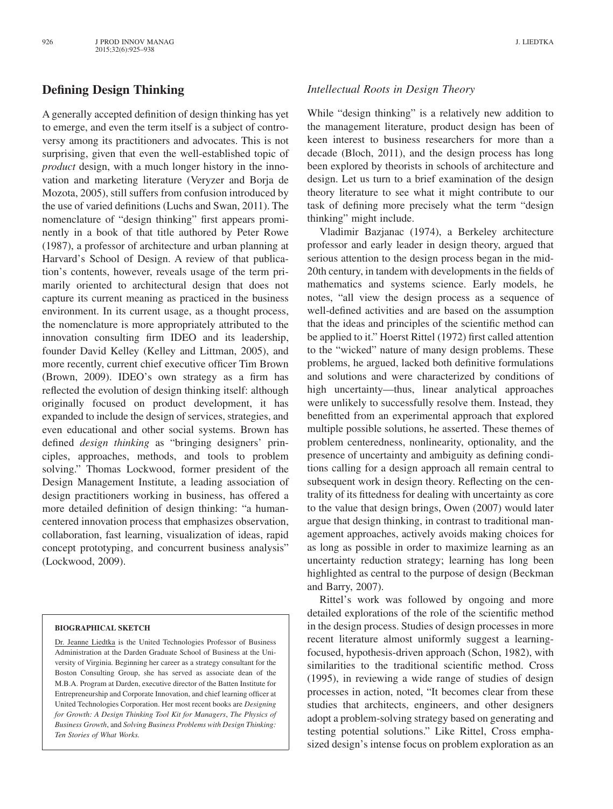# **Defining Design Thinking**

A generally accepted definition of design thinking has yet to emerge, and even the term itself is a subject of controversy among its practitioners and advocates. This is not surprising, given that even the well-established topic of *product* design, with a much longer history in the innovation and marketing literature (Veryzer and Borja de Mozota, 2005), still suffers from confusion introduced by the use of varied definitions (Luchs and Swan, 2011). The nomenclature of "design thinking" first appears prominently in a book of that title authored by Peter Rowe (1987), a professor of architecture and urban planning at Harvard's School of Design. A review of that publication's contents, however, reveals usage of the term primarily oriented to architectural design that does not capture its current meaning as practiced in the business environment. In its current usage, as a thought process, the nomenclature is more appropriately attributed to the innovation consulting firm IDEO and its leadership, founder David Kelley (Kelley and Littman, 2005), and more recently, current chief executive officer Tim Brown (Brown, 2009). IDEO's own strategy as a firm has reflected the evolution of design thinking itself: although originally focused on product development, it has expanded to include the design of services, strategies, and even educational and other social systems. Brown has defined *design thinking* as "bringing designers' principles, approaches, methods, and tools to problem solving." Thomas Lockwood, former president of the Design Management Institute, a leading association of design practitioners working in business, has offered a more detailed definition of design thinking: "a humancentered innovation process that emphasizes observation, collaboration, fast learning, visualization of ideas, rapid concept prototyping, and concurrent business analysis" (Lockwood, 2009).

#### **BIOGRAPHICAL SKETCH**

Dr. Jeanne Liedtka is the United Technologies Professor of Business Administration at the Darden Graduate School of Business at the University of Virginia. Beginning her career as a strategy consultant for the Boston Consulting Group, she has served as associate dean of the M.B.A. Program at Darden, executive director of the Batten Institute for Entrepreneurship and Corporate Innovation, and chief learning officer at United Technologies Corporation. Her most recent books are *Designing for Growth: A Design Thinking Tool Kit for Managers*, *The Physics of Business Growth*, and *Solving Business Problems with Design Thinking: Ten Stories of What Works.*

#### *Intellectual Roots in Design Theory*

While "design thinking" is a relatively new addition to the management literature, product design has been of keen interest to business researchers for more than a decade (Bloch, 2011), and the design process has long been explored by theorists in schools of architecture and design. Let us turn to a brief examination of the design theory literature to see what it might contribute to our task of defining more precisely what the term "design thinking" might include.

Vladimir Bazjanac (1974), a Berkeley architecture professor and early leader in design theory, argued that serious attention to the design process began in the mid-20th century, in tandem with developments in the fields of mathematics and systems science. Early models, he notes, "all view the design process as a sequence of well-defined activities and are based on the assumption that the ideas and principles of the scientific method can be applied to it." Hoerst Rittel (1972) first called attention to the "wicked" nature of many design problems. These problems, he argued, lacked both definitive formulations and solutions and were characterized by conditions of high uncertainty—thus, linear analytical approaches were unlikely to successfully resolve them. Instead, they benefitted from an experimental approach that explored multiple possible solutions, he asserted. These themes of problem centeredness, nonlinearity, optionality, and the presence of uncertainty and ambiguity as defining conditions calling for a design approach all remain central to subsequent work in design theory. Reflecting on the centrality of its fittedness for dealing with uncertainty as core to the value that design brings, Owen (2007) would later argue that design thinking, in contrast to traditional management approaches, actively avoids making choices for as long as possible in order to maximize learning as an uncertainty reduction strategy; learning has long been highlighted as central to the purpose of design (Beckman and Barry, 2007).

Rittel's work was followed by ongoing and more detailed explorations of the role of the scientific method in the design process. Studies of design processes in more recent literature almost uniformly suggest a learningfocused, hypothesis-driven approach (Schon, 1982), with similarities to the traditional scientific method. Cross (1995), in reviewing a wide range of studies of design processes in action, noted, "It becomes clear from these studies that architects, engineers, and other designers adopt a problem-solving strategy based on generating and testing potential solutions." Like Rittel, Cross emphasized design's intense focus on problem exploration as an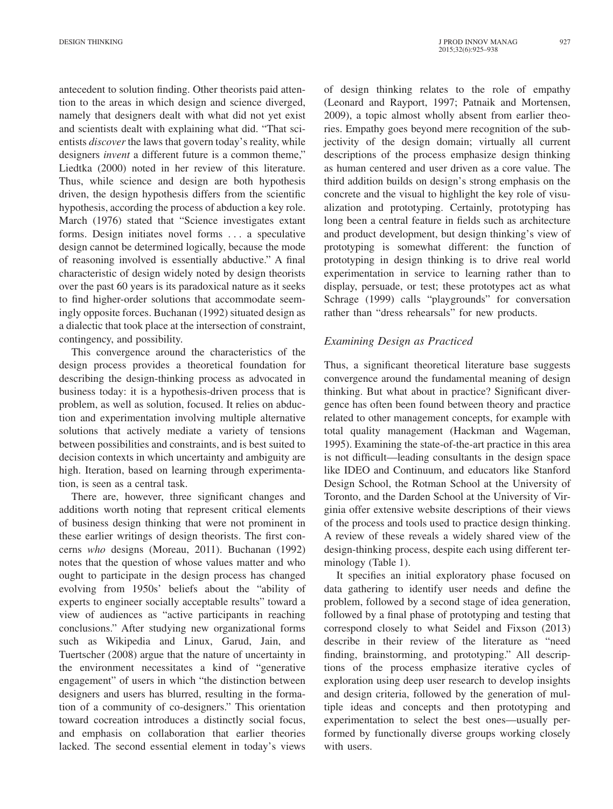antecedent to solution finding. Other theorists paid attention to the areas in which design and science diverged, namely that designers dealt with what did not yet exist and scientists dealt with explaining what did. "That scientists *discover* the laws that govern today's reality, while designers *invent* a different future is a common theme," Liedtka (2000) noted in her review of this literature. Thus, while science and design are both hypothesis driven, the design hypothesis differs from the scientific hypothesis, according the process of abduction a key role. March (1976) stated that "Science investigates extant forms. Design initiates novel forms . . . a speculative design cannot be determined logically, because the mode

of reasoning involved is essentially abductive." A final characteristic of design widely noted by design theorists over the past 60 years is its paradoxical nature as it seeks to find higher-order solutions that accommodate seemingly opposite forces. Buchanan (1992) situated design as a dialectic that took place at the intersection of constraint, contingency, and possibility.

This convergence around the characteristics of the design process provides a theoretical foundation for describing the design-thinking process as advocated in business today: it is a hypothesis-driven process that is problem, as well as solution, focused. It relies on abduction and experimentation involving multiple alternative solutions that actively mediate a variety of tensions between possibilities and constraints, and is best suited to decision contexts in which uncertainty and ambiguity are high. Iteration, based on learning through experimentation, is seen as a central task.

There are, however, three significant changes and additions worth noting that represent critical elements of business design thinking that were not prominent in these earlier writings of design theorists. The first concerns *who* designs (Moreau, 2011). Buchanan (1992) notes that the question of whose values matter and who ought to participate in the design process has changed evolving from 1950s' beliefs about the "ability of experts to engineer socially acceptable results" toward a view of audiences as "active participants in reaching conclusions." After studying new organizational forms such as Wikipedia and Linux, Garud, Jain, and Tuertscher (2008) argue that the nature of uncertainty in the environment necessitates a kind of "generative engagement" of users in which "the distinction between designers and users has blurred, resulting in the formation of a community of co-designers." This orientation toward cocreation introduces a distinctly social focus, and emphasis on collaboration that earlier theories lacked. The second essential element in today's views of design thinking relates to the role of empathy (Leonard and Rayport, 1997; Patnaik and Mortensen, 2009), a topic almost wholly absent from earlier theories. Empathy goes beyond mere recognition of the subjectivity of the design domain; virtually all current descriptions of the process emphasize design thinking as human centered and user driven as a core value. The third addition builds on design's strong emphasis on the concrete and the visual to highlight the key role of visualization and prototyping. Certainly, prototyping has long been a central feature in fields such as architecture and product development, but design thinking's view of prototyping is somewhat different: the function of prototyping in design thinking is to drive real world experimentation in service to learning rather than to display, persuade, or test; these prototypes act as what Schrage (1999) calls "playgrounds" for conversation rather than "dress rehearsals" for new products.

2015;32(6):925–938

#### *Examining Design as Practiced*

Thus, a significant theoretical literature base suggests convergence around the fundamental meaning of design thinking. But what about in practice? Significant divergence has often been found between theory and practice related to other management concepts, for example with total quality management (Hackman and Wageman, 1995). Examining the state-of-the-art practice in this area is not difficult—leading consultants in the design space like IDEO and Continuum, and educators like Stanford Design School, the Rotman School at the University of Toronto, and the Darden School at the University of Virginia offer extensive website descriptions of their views of the process and tools used to practice design thinking. A review of these reveals a widely shared view of the design-thinking process, despite each using different terminology (Table 1).

It specifies an initial exploratory phase focused on data gathering to identify user needs and define the problem, followed by a second stage of idea generation, followed by a final phase of prototyping and testing that correspond closely to what Seidel and Fixson (2013) describe in their review of the literature as "need finding, brainstorming, and prototyping." All descriptions of the process emphasize iterative cycles of exploration using deep user research to develop insights and design criteria, followed by the generation of multiple ideas and concepts and then prototyping and experimentation to select the best ones—usually performed by functionally diverse groups working closely with users.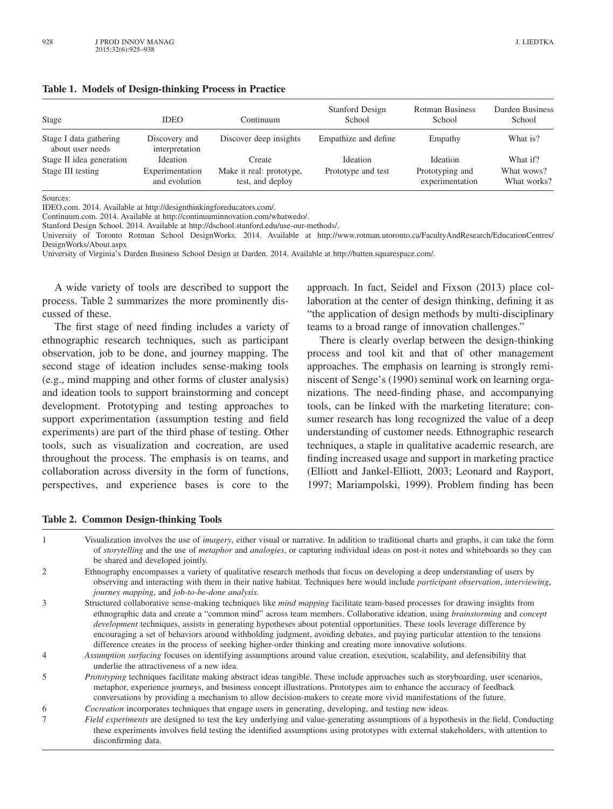|             |  | r.<br>L |
|-------------|--|---------|
| $\sim$<br>× |  |         |

| Stage                                      | <b>IDEO</b>                      | Continuum                                    | Stanford Design<br>School | <b>Rotman Business</b><br>School   | Darden Business<br>School |
|--------------------------------------------|----------------------------------|----------------------------------------------|---------------------------|------------------------------------|---------------------------|
| Stage I data gathering<br>about user needs | Discovery and<br>interpretation  | Discover deep insights                       | Empathize and define      | Empathy                            | What is?                  |
| Stage II idea generation                   | <b>Ideation</b>                  | Create                                       | <b>Ideation</b>           | <b>Ideation</b>                    | What if?                  |
| Stage III testing                          | Experimentation<br>and evolution | Make it real: prototype,<br>test, and deploy | Prototype and test        | Prototyping and<br>experimentation | What wows?<br>What works? |

#### **Table 1. Models of Design-thinking Process in Practice**

Sources:

IDEO.com. 2014. Available at [http://designthinkingforeducators.com/.](http://designthinkingforeducators.com/)

Continuum.com. 2014. Available at [http://continuuminnovation.com/whatwedo/.](http://continuuminnovation.com/whatwedo/)

Stanford Design School. 2014. Available at [http://dschool.stanford.edu/use-our-methods/.](http://dschool.stanford.edu/use-our-methods/)

University of Toronto Rotman School DesignWorks. 2014. Available at [http://www.rotman.utoronto.ca/FacultyAndResearch/EducationCentres/](http://www.rotman.utoronto.ca/FacultyAndResearch/EducationCentres/DesignWorks/About.aspx) [DesignWorks/About.aspx](http://www.rotman.utoronto.ca/FacultyAndResearch/EducationCentres/DesignWorks/About.aspx)

University of Virginia's Darden Business School Design at Darden. 2014. Available at [http://batten.squarespace.com/.](http://batten.squarespace.com/)

A wide variety of tools are described to support the process. Table 2 summarizes the more prominently discussed of these.

The first stage of need finding includes a variety of ethnographic research techniques, such as participant observation, job to be done, and journey mapping. The second stage of ideation includes sense-making tools (e.g., mind mapping and other forms of cluster analysis) and ideation tools to support brainstorming and concept development. Prototyping and testing approaches to support experimentation (assumption testing and field experiments) are part of the third phase of testing. Other tools, such as visualization and cocreation, are used throughout the process. The emphasis is on teams, and collaboration across diversity in the form of functions, perspectives, and experience bases is core to the

approach. In fact, Seidel and Fixson (2013) place collaboration at the center of design thinking, defining it as "the application of design methods by multi-disciplinary teams to a broad range of innovation challenges."

There is clearly overlap between the design-thinking process and tool kit and that of other management approaches. The emphasis on learning is strongly reminiscent of Senge's (1990) seminal work on learning organizations. The need-finding phase, and accompanying tools, can be linked with the marketing literature; consumer research has long recognized the value of a deep understanding of customer needs. Ethnographic research techniques, a staple in qualitative academic research, are finding increased usage and support in marketing practice (Elliott and Jankel-Elliott, 2003; Leonard and Rayport, 1997; Mariampolski, 1999). Problem finding has been

#### **Table 2. Common Design-thinking Tools**

| 1              | Visualization involves the use of <i>imagery</i> , either visual or narrative. In addition to traditional charts and graphs, it can take the form<br>of <i>storytelling</i> and the use of <i>metaphor</i> and <i>analogies</i> , or capturing individual ideas on post-it notes and whiteboards so they can                                                                                                                                                                                                                                                                                                                                                       |
|----------------|--------------------------------------------------------------------------------------------------------------------------------------------------------------------------------------------------------------------------------------------------------------------------------------------------------------------------------------------------------------------------------------------------------------------------------------------------------------------------------------------------------------------------------------------------------------------------------------------------------------------------------------------------------------------|
|                | be shared and developed jointly.                                                                                                                                                                                                                                                                                                                                                                                                                                                                                                                                                                                                                                   |
| $\overline{c}$ | Ethnography encompasses a variety of qualitative research methods that focus on developing a deep understanding of users by<br>observing and interacting with them in their native habitat. Techniques here would include <i>participant observation</i> , <i>interviewing</i> ,<br>journey mapping, and job-to-be-done analysis.                                                                                                                                                                                                                                                                                                                                  |
| 3              | Structured collaborative sense-making techniques like <i>mind mapping</i> facilitate team-based processes for drawing insights from<br>ethnographic data and create a "common mind" across team members. Collaborative ideation, using <i>brainstorming</i> and <i>concept</i><br><i>development</i> techniques, assists in generating hypotheses about potential opportunities. These tools leverage difference by<br>encouraging a set of behaviors around withholding judgment, avoiding debates, and paying particular attention to the tensions<br>difference creates in the process of seeking higher-order thinking and creating more innovative solutions. |
| $\overline{4}$ | Assumption surfacing focuses on identifying assumptions around value creation, execution, scalability, and defensibility that<br>underlie the attractiveness of a new idea.                                                                                                                                                                                                                                                                                                                                                                                                                                                                                        |
| 5              | <i>Prototyping</i> techniques facilitate making abstract ideas tangible. These include approaches such as storyboarding, user scenarios,<br>metaphor, experience journeys, and business concept illustrations. Prototypes aim to enhance the accuracy of feedback<br>conversations by providing a mechanism to allow decision-makers to create more vivid manifestations of the future.                                                                                                                                                                                                                                                                            |
| 6              | <i>Cocreation</i> incorporates techniques that engage users in generating, developing, and testing new ideas.                                                                                                                                                                                                                                                                                                                                                                                                                                                                                                                                                      |
| 7              | Field experiments are designed to test the key underlying and value-generating assumptions of a hypothesis in the field. Conducting<br>these experiments involves field testing the identified assumptions using prototypes with external stakeholders, with attention to<br>disconfirming data.                                                                                                                                                                                                                                                                                                                                                                   |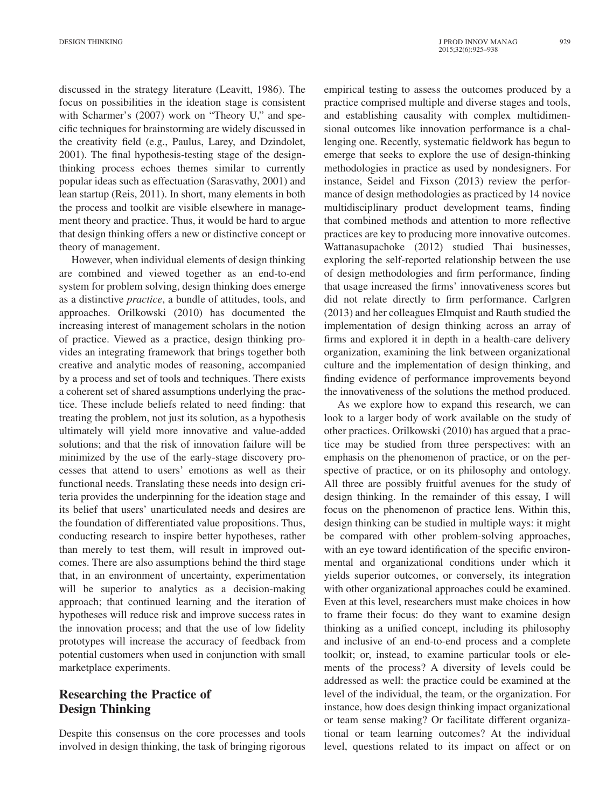discussed in the strategy literature (Leavitt, 1986). The focus on possibilities in the ideation stage is consistent with Scharmer's (2007) work on "Theory U," and specific techniques for brainstorming are widely discussed in the creativity field (e.g., Paulus, Larey, and Dzindolet, 2001). The final hypothesis-testing stage of the designthinking process echoes themes similar to currently popular ideas such as effectuation (Sarasvathy, 2001) and lean startup (Reis, 2011). In short, many elements in both the process and toolkit are visible elsewhere in management theory and practice. Thus, it would be hard to argue that design thinking offers a new or distinctive concept or theory of management.

However, when individual elements of design thinking are combined and viewed together as an end-to-end system for problem solving, design thinking does emerge as a distinctive *practice*, a bundle of attitudes, tools, and approaches. Orilkowski (2010) has documented the increasing interest of management scholars in the notion of practice. Viewed as a practice, design thinking provides an integrating framework that brings together both creative and analytic modes of reasoning, accompanied by a process and set of tools and techniques. There exists a coherent set of shared assumptions underlying the practice. These include beliefs related to need finding: that treating the problem, not just its solution, as a hypothesis ultimately will yield more innovative and value-added solutions; and that the risk of innovation failure will be minimized by the use of the early-stage discovery processes that attend to users' emotions as well as their functional needs. Translating these needs into design criteria provides the underpinning for the ideation stage and its belief that users' unarticulated needs and desires are the foundation of differentiated value propositions. Thus, conducting research to inspire better hypotheses, rather than merely to test them, will result in improved outcomes. There are also assumptions behind the third stage that, in an environment of uncertainty, experimentation will be superior to analytics as a decision-making approach; that continued learning and the iteration of hypotheses will reduce risk and improve success rates in the innovation process; and that the use of low fidelity prototypes will increase the accuracy of feedback from potential customers when used in conjunction with small marketplace experiments.

### **Researching the Practice of Design Thinking**

Despite this consensus on the core processes and tools involved in design thinking, the task of bringing rigorous empirical testing to assess the outcomes produced by a practice comprised multiple and diverse stages and tools, and establishing causality with complex multidimensional outcomes like innovation performance is a challenging one. Recently, systematic fieldwork has begun to emerge that seeks to explore the use of design-thinking methodologies in practice as used by nondesigners. For instance, Seidel and Fixson (2013) review the performance of design methodologies as practiced by 14 novice multidisciplinary product development teams, finding that combined methods and attention to more reflective practices are key to producing more innovative outcomes. Wattanasupachoke (2012) studied Thai businesses, exploring the self-reported relationship between the use of design methodologies and firm performance, finding that usage increased the firms' innovativeness scores but did not relate directly to firm performance. Carlgren (2013) and her colleagues Elmquist and Rauth studied the implementation of design thinking across an array of firms and explored it in depth in a health-care delivery organization, examining the link between organizational culture and the implementation of design thinking, and finding evidence of performance improvements beyond the innovativeness of the solutions the method produced.

As we explore how to expand this research, we can look to a larger body of work available on the study of other practices. Orilkowski (2010) has argued that a practice may be studied from three perspectives: with an emphasis on the phenomenon of practice, or on the perspective of practice, or on its philosophy and ontology. All three are possibly fruitful avenues for the study of design thinking. In the remainder of this essay, I will focus on the phenomenon of practice lens. Within this, design thinking can be studied in multiple ways: it might be compared with other problem-solving approaches, with an eye toward identification of the specific environmental and organizational conditions under which it yields superior outcomes, or conversely, its integration with other organizational approaches could be examined. Even at this level, researchers must make choices in how to frame their focus: do they want to examine design thinking as a unified concept, including its philosophy and inclusive of an end-to-end process and a complete toolkit; or, instead, to examine particular tools or elements of the process? A diversity of levels could be addressed as well: the practice could be examined at the level of the individual, the team, or the organization. For instance, how does design thinking impact organizational or team sense making? Or facilitate different organizational or team learning outcomes? At the individual level, questions related to its impact on affect or on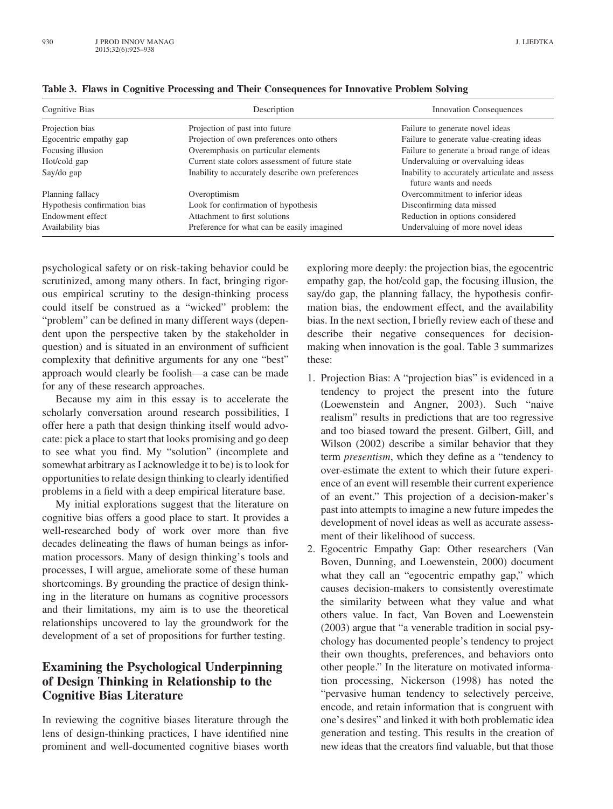| Cognitive Bias               | Description                                      | <b>Innovation Consequences</b>                                          |  |  |  |
|------------------------------|--------------------------------------------------|-------------------------------------------------------------------------|--|--|--|
| Projection bias              | Projection of past into future                   | Failure to generate novel ideas                                         |  |  |  |
| Egocentric empathy gap       | Projection of own preferences onto others        | Failure to generate value-creating ideas                                |  |  |  |
| Focusing illusion            | Overemphasis on particular elements              | Failure to generate a broad range of ideas                              |  |  |  |
| Hot/cold gap                 | Current state colors assessment of future state  | Undervaluing or overvaluing ideas                                       |  |  |  |
| Say/do gap                   | Inability to accurately describe own preferences | Inability to accurately articulate and assess<br>future wants and needs |  |  |  |
| Planning fallacy             | Overoptimism                                     | Overcommitment to inferior ideas                                        |  |  |  |
| Hypothesis confirmation bias | Look for confirmation of hypothesis              | Disconfirming data missed                                               |  |  |  |
| Endowment effect             | Attachment to first solutions                    | Reduction in options considered                                         |  |  |  |
| Availability bias            | Preference for what can be easily imagined       | Undervaluing of more novel ideas                                        |  |  |  |

|  | Table 3. Flaws in Cognitive Processing and Their Consequences for Innovative Problem Solving |  |  |  |  |
|--|----------------------------------------------------------------------------------------------|--|--|--|--|
|  |                                                                                              |  |  |  |  |

psychological safety or on risk-taking behavior could be scrutinized, among many others. In fact, bringing rigorous empirical scrutiny to the design-thinking process could itself be construed as a "wicked" problem: the "problem" can be defined in many different ways (dependent upon the perspective taken by the stakeholder in question) and is situated in an environment of sufficient complexity that definitive arguments for any one "best" approach would clearly be foolish—a case can be made for any of these research approaches.

Because my aim in this essay is to accelerate the scholarly conversation around research possibilities, I offer here a path that design thinking itself would advocate: pick a place to start that looks promising and go deep to see what you find. My "solution" (incomplete and somewhat arbitrary as I acknowledge it to be) is to look for opportunities to relate design thinking to clearly identified problems in a field with a deep empirical literature base.

My initial explorations suggest that the literature on cognitive bias offers a good place to start. It provides a well-researched body of work over more than five decades delineating the flaws of human beings as information processors. Many of design thinking's tools and processes, I will argue, ameliorate some of these human shortcomings. By grounding the practice of design thinking in the literature on humans as cognitive processors and their limitations, my aim is to use the theoretical relationships uncovered to lay the groundwork for the development of a set of propositions for further testing.

## **Examining the Psychological Underpinning of Design Thinking in Relationship to the Cognitive Bias Literature**

In reviewing the cognitive biases literature through the lens of design-thinking practices, I have identified nine prominent and well-documented cognitive biases worth exploring more deeply: the projection bias, the egocentric empathy gap, the hot/cold gap, the focusing illusion, the say/do gap, the planning fallacy, the hypothesis confirmation bias, the endowment effect, and the availability bias. In the next section, I briefly review each of these and describe their negative consequences for decisionmaking when innovation is the goal. Table 3 summarizes these:

- 1. Projection Bias: A "projection bias" is evidenced in a tendency to project the present into the future (Loewenstein and Angner, 2003). Such "naive realism" results in predictions that are too regressive and too biased toward the present. Gilbert, Gill, and Wilson (2002) describe a similar behavior that they term *presentism*, which they define as a "tendency to over-estimate the extent to which their future experience of an event will resemble their current experience of an event." This projection of a decision-maker's past into attempts to imagine a new future impedes the development of novel ideas as well as accurate assessment of their likelihood of success.
- 2. Egocentric Empathy Gap: Other researchers (Van Boven, Dunning, and Loewenstein, 2000) document what they call an "egocentric empathy gap," which causes decision-makers to consistently overestimate the similarity between what they value and what others value. In fact, Van Boven and Loewenstein (2003) argue that "a venerable tradition in social psychology has documented people's tendency to project their own thoughts, preferences, and behaviors onto other people." In the literature on motivated information processing, Nickerson (1998) has noted the "pervasive human tendency to selectively perceive, encode, and retain information that is congruent with one's desires" and linked it with both problematic idea generation and testing. This results in the creation of new ideas that the creators find valuable, but that those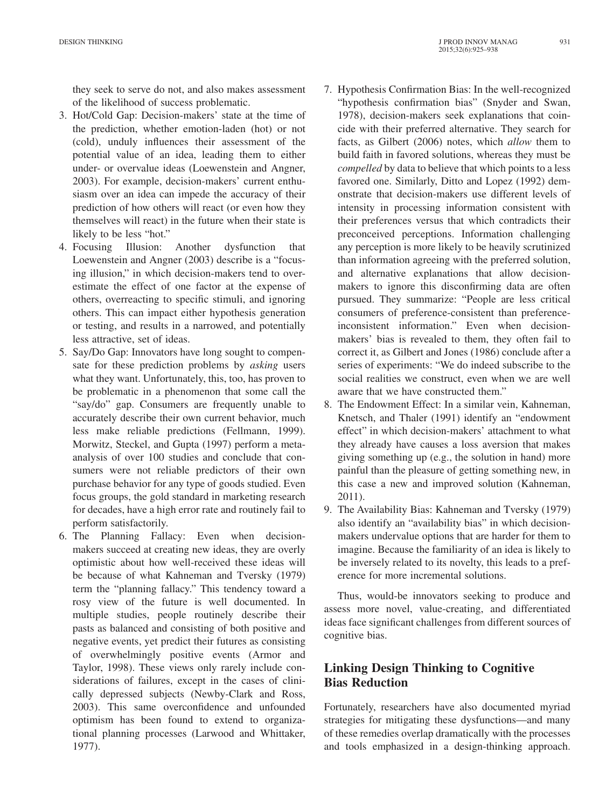they seek to serve do not, and also makes assessment of the likelihood of success problematic.

- 3. Hot/Cold Gap: Decision-makers' state at the time of the prediction, whether emotion-laden (hot) or not (cold), unduly influences their assessment of the potential value of an idea, leading them to either under- or overvalue ideas (Loewenstein and Angner, 2003). For example, decision-makers' current enthusiasm over an idea can impede the accuracy of their prediction of how others will react (or even how they themselves will react) in the future when their state is likely to be less "hot."
- 4. Focusing Illusion: Another dysfunction that Loewenstein and Angner (2003) describe is a "focusing illusion," in which decision-makers tend to overestimate the effect of one factor at the expense of others, overreacting to specific stimuli, and ignoring others. This can impact either hypothesis generation or testing, and results in a narrowed, and potentially less attractive, set of ideas.
- 5. Say/Do Gap: Innovators have long sought to compensate for these prediction problems by *asking* users what they want. Unfortunately, this, too, has proven to be problematic in a phenomenon that some call the "say/do" gap. Consumers are frequently unable to accurately describe their own current behavior, much less make reliable predictions (Fellmann, 1999). Morwitz, Steckel, and Gupta (1997) perform a metaanalysis of over 100 studies and conclude that consumers were not reliable predictors of their own purchase behavior for any type of goods studied. Even focus groups, the gold standard in marketing research for decades, have a high error rate and routinely fail to perform satisfactorily.
- 6. The Planning Fallacy: Even when decisionmakers succeed at creating new ideas, they are overly optimistic about how well-received these ideas will be because of what Kahneman and Tversky (1979) term the "planning fallacy." This tendency toward a rosy view of the future is well documented. In multiple studies, people routinely describe their pasts as balanced and consisting of both positive and negative events, yet predict their futures as consisting of overwhelmingly positive events (Armor and Taylor, 1998). These views only rarely include considerations of failures, except in the cases of clinically depressed subjects (Newby-Clark and Ross, 2003). This same overconfidence and unfounded optimism has been found to extend to organizational planning processes (Larwood and Whittaker, 1977).
- 7. Hypothesis Confirmation Bias: In the well-recognized "hypothesis confirmation bias" (Snyder and Swan, 1978), decision-makers seek explanations that coincide with their preferred alternative. They search for facts, as Gilbert (2006) notes, which *allow* them to build faith in favored solutions, whereas they must be *compelled* by data to believe that which points to a less favored one. Similarly, Ditto and Lopez (1992) demonstrate that decision-makers use different levels of intensity in processing information consistent with their preferences versus that which contradicts their preconceived perceptions. Information challenging any perception is more likely to be heavily scrutinized than information agreeing with the preferred solution, and alternative explanations that allow decisionmakers to ignore this disconfirming data are often pursued. They summarize: "People are less critical consumers of preference-consistent than preferenceinconsistent information." Even when decisionmakers' bias is revealed to them, they often fail to correct it, as Gilbert and Jones (1986) conclude after a series of experiments: "We do indeed subscribe to the social realities we construct, even when we are well aware that we have constructed them."
- 8. The Endowment Effect: In a similar vein, Kahneman, Knetsch, and Thaler (1991) identify an "endowment effect" in which decision-makers' attachment to what they already have causes a loss aversion that makes giving something up (e.g., the solution in hand) more painful than the pleasure of getting something new, in this case a new and improved solution (Kahneman, 2011).
- 9. The Availability Bias: Kahneman and Tversky (1979) also identify an "availability bias" in which decisionmakers undervalue options that are harder for them to imagine. Because the familiarity of an idea is likely to be inversely related to its novelty, this leads to a preference for more incremental solutions.

Thus, would-be innovators seeking to produce and assess more novel, value-creating, and differentiated ideas face significant challenges from different sources of cognitive bias.

### **Linking Design Thinking to Cognitive Bias Reduction**

Fortunately, researchers have also documented myriad strategies for mitigating these dysfunctions—and many of these remedies overlap dramatically with the processes and tools emphasized in a design-thinking approach.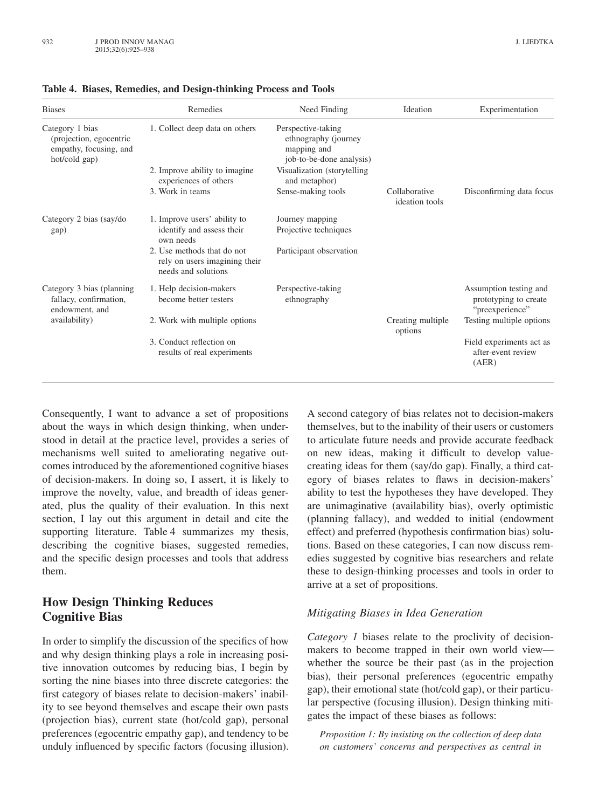| <b>Biases</b>                                                                         | Remedies                                                                           | Need Finding                                                                          | Ideation                        | Experimentation                                                    |  |  |
|---------------------------------------------------------------------------------------|------------------------------------------------------------------------------------|---------------------------------------------------------------------------------------|---------------------------------|--------------------------------------------------------------------|--|--|
| Category 1 bias<br>(projection, egocentric<br>empathy, focusing, and<br>hot/cold gap) | 1. Collect deep data on others                                                     | Perspective-taking<br>ethnography (journey<br>mapping and<br>job-to-be-done analysis) |                                 |                                                                    |  |  |
|                                                                                       | 2. Improve ability to imagine<br>experiences of others                             | Visualization (storytelling<br>and metaphor)                                          |                                 |                                                                    |  |  |
|                                                                                       | 3. Work in teams                                                                   | Sense-making tools                                                                    | Collaborative<br>ideation tools | Disconfirming data focus                                           |  |  |
| Category 2 bias (say/do)<br>gap)                                                      | 1. Improve users' ability to<br>identify and assess their<br>own needs             | Journey mapping<br>Projective techniques                                              |                                 |                                                                    |  |  |
|                                                                                       | 2. Use methods that do not<br>rely on users imagining their<br>needs and solutions | Participant observation                                                               |                                 |                                                                    |  |  |
| Category 3 bias (planning)<br>fallacy, confirmation,<br>endowment, and                | 1. Help decision-makers<br>become better testers                                   | Perspective-taking<br>ethnography                                                     |                                 | Assumption testing and<br>prototyping to create<br>"preexperience" |  |  |
| availability)                                                                         | 2. Work with multiple options                                                      |                                                                                       | Creating multiple<br>options    | Testing multiple options                                           |  |  |
|                                                                                       | 3. Conduct reflection on<br>results of real experiments                            |                                                                                       |                                 | Field experiments act as<br>after-event review<br>(AER)            |  |  |

**Table 4. Biases, Remedies, and Design-thinking Process and Tools**

Consequently, I want to advance a set of propositions about the ways in which design thinking, when understood in detail at the practice level, provides a series of mechanisms well suited to ameliorating negative outcomes introduced by the aforementioned cognitive biases of decision-makers. In doing so, I assert, it is likely to improve the novelty, value, and breadth of ideas generated, plus the quality of their evaluation. In this next section, I lay out this argument in detail and cite the supporting literature. Table 4 summarizes my thesis, describing the cognitive biases, suggested remedies, and the specific design processes and tools that address them.

### **How Design Thinking Reduces Cognitive Bias**

In order to simplify the discussion of the specifics of how and why design thinking plays a role in increasing positive innovation outcomes by reducing bias, I begin by sorting the nine biases into three discrete categories: the first category of biases relate to decision-makers' inability to see beyond themselves and escape their own pasts (projection bias), current state (hot/cold gap), personal preferences (egocentric empathy gap), and tendency to be unduly influenced by specific factors (focusing illusion).

A second category of bias relates not to decision-makers themselves, but to the inability of their users or customers to articulate future needs and provide accurate feedback on new ideas, making it difficult to develop valuecreating ideas for them (say/do gap). Finally, a third category of biases relates to flaws in decision-makers' ability to test the hypotheses they have developed. They are unimaginative (availability bias), overly optimistic (planning fallacy), and wedded to initial (endowment effect) and preferred (hypothesis confirmation bias) solutions. Based on these categories, I can now discuss remedies suggested by cognitive bias researchers and relate these to design-thinking processes and tools in order to arrive at a set of propositions.

#### *Mitigating Biases in Idea Generation*

*Category 1* biases relate to the proclivity of decisionmakers to become trapped in their own world view whether the source be their past (as in the projection bias), their personal preferences (egocentric empathy gap), their emotional state (hot/cold gap), or their particular perspective (focusing illusion). Design thinking mitigates the impact of these biases as follows:

*Proposition 1: By insisting on the collection of deep data on customers' concerns and perspectives as central in*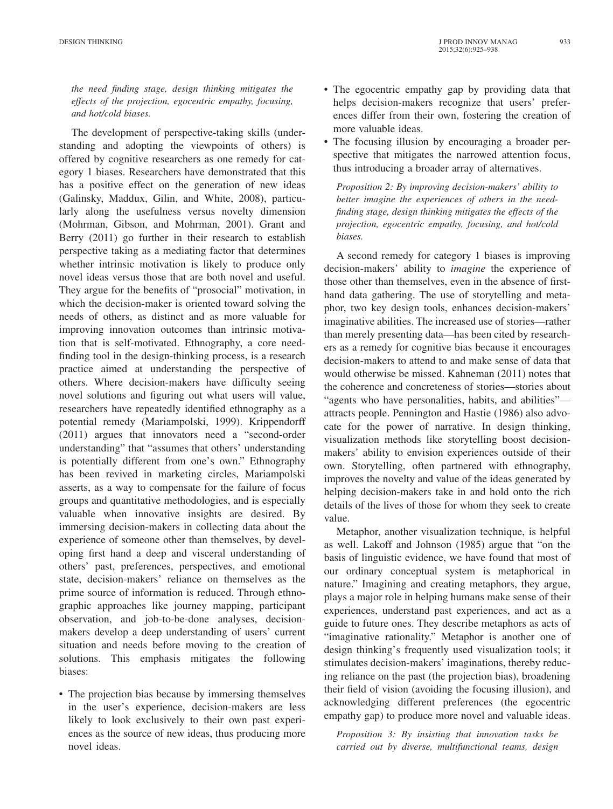*the need finding stage, design thinking mitigates the effects of the projection, egocentric empathy, focusing, and hot/cold biases.*

The development of perspective-taking skills (understanding and adopting the viewpoints of others) is offered by cognitive researchers as one remedy for category 1 biases. Researchers have demonstrated that this has a positive effect on the generation of new ideas (Galinsky, Maddux, Gilin, and White, 2008), particularly along the usefulness versus novelty dimension (Mohrman, Gibson, and Mohrman, 2001). Grant and Berry (2011) go further in their research to establish perspective taking as a mediating factor that determines whether intrinsic motivation is likely to produce only novel ideas versus those that are both novel and useful. They argue for the benefits of "prosocial" motivation, in which the decision-maker is oriented toward solving the needs of others, as distinct and as more valuable for improving innovation outcomes than intrinsic motivation that is self-motivated. Ethnography, a core needfinding tool in the design-thinking process, is a research practice aimed at understanding the perspective of others. Where decision-makers have difficulty seeing novel solutions and figuring out what users will value, researchers have repeatedly identified ethnography as a potential remedy (Mariampolski, 1999). Krippendorff (2011) argues that innovators need a "second-order understanding" that "assumes that others' understanding is potentially different from one's own." Ethnography has been revived in marketing circles, Mariampolski asserts, as a way to compensate for the failure of focus groups and quantitative methodologies, and is especially valuable when innovative insights are desired. By immersing decision-makers in collecting data about the experience of someone other than themselves, by developing first hand a deep and visceral understanding of others' past, preferences, perspectives, and emotional state, decision-makers' reliance on themselves as the prime source of information is reduced. Through ethnographic approaches like journey mapping, participant observation, and job-to-be-done analyses, decisionmakers develop a deep understanding of users' current situation and needs before moving to the creation of solutions. This emphasis mitigates the following biases:

• The projection bias because by immersing themselves in the user's experience, decision-makers are less likely to look exclusively to their own past experiences as the source of new ideas, thus producing more novel ideas.

- The egocentric empathy gap by providing data that helps decision-makers recognize that users' preferences differ from their own, fostering the creation of more valuable ideas.
- The focusing illusion by encouraging a broader perspective that mitigates the narrowed attention focus, thus introducing a broader array of alternatives.

*Proposition 2: By improving decision-makers' ability to better imagine the experiences of others in the needfinding stage, design thinking mitigates the effects of the projection, egocentric empathy, focusing, and hot/cold biases.*

A second remedy for category 1 biases is improving decision-makers' ability to *imagine* the experience of those other than themselves, even in the absence of firsthand data gathering. The use of storytelling and metaphor, two key design tools, enhances decision-makers' imaginative abilities. The increased use of stories—rather than merely presenting data—has been cited by researchers as a remedy for cognitive bias because it encourages decision-makers to attend to and make sense of data that would otherwise be missed. Kahneman (2011) notes that the coherence and concreteness of stories—stories about "agents who have personalities, habits, and abilities" attracts people. Pennington and Hastie (1986) also advocate for the power of narrative. In design thinking, visualization methods like storytelling boost decisionmakers' ability to envision experiences outside of their own. Storytelling, often partnered with ethnography, improves the novelty and value of the ideas generated by helping decision-makers take in and hold onto the rich details of the lives of those for whom they seek to create value.

Metaphor, another visualization technique, is helpful as well. Lakoff and Johnson (1985) argue that "on the basis of linguistic evidence, we have found that most of our ordinary conceptual system is metaphorical in nature." Imagining and creating metaphors, they argue, plays a major role in helping humans make sense of their experiences, understand past experiences, and act as a guide to future ones. They describe metaphors as acts of "imaginative rationality." Metaphor is another one of design thinking's frequently used visualization tools; it stimulates decision-makers' imaginations, thereby reducing reliance on the past (the projection bias), broadening their field of vision (avoiding the focusing illusion), and acknowledging different preferences (the egocentric empathy gap) to produce more novel and valuable ideas.

*Proposition 3: By insisting that innovation tasks be carried out by diverse, multifunctional teams, design*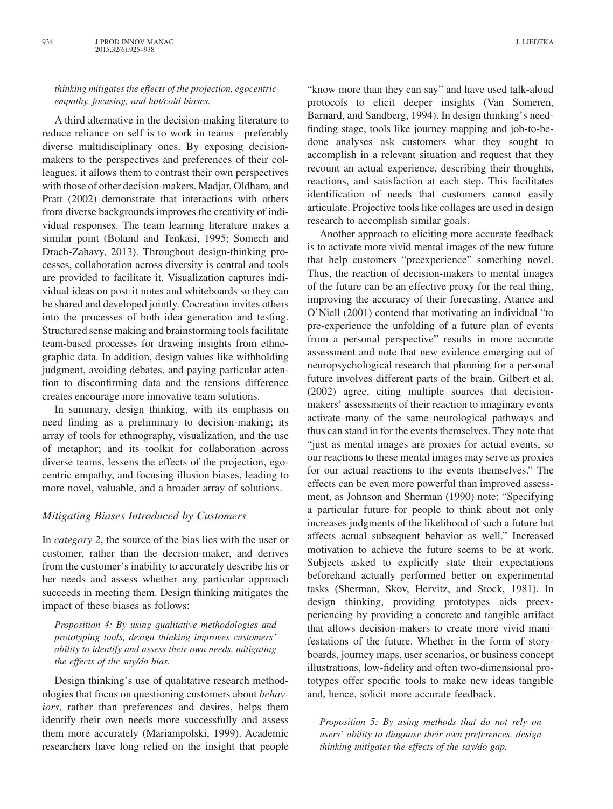#### *thinking mitigates the effects of the projection, egocentric empathy, focusing, and hot/cold biases.*

A third alternative in the decision-making literature to reduce reliance on self is to work in teams—preferably diverse multidisciplinary ones. By exposing decisionmakers to the perspectives and preferences of their colleagues, it allows them to contrast their own perspectives with those of other decision-makers. Madjar, Oldham, and Pratt (2002) demonstrate that interactions with others from diverse backgrounds improves the creativity of individual responses. The team learning literature makes a similar point (Boland and Tenkasi, 1995; Somech and Drach-Zahavy, 2013). Throughout design-thinking processes, collaboration across diversity is central and tools are provided to facilitate it. Visualization captures individual ideas on post-it notes and whiteboards so they can be shared and developed jointly. Cocreation invites others into the processes of both idea generation and testing. Structured sense making and brainstorming tools facilitate team-based processes for drawing insights from ethnographic data. In addition, design values like withholding judgment, avoiding debates, and paying particular attention to disconfirming data and the tensions difference creates encourage more innovative team solutions.

In summary, design thinking, with its emphasis on need finding as a preliminary to decision-making; its array of tools for ethnography, visualization, and the use of metaphor; and its toolkit for collaboration across diverse teams, lessens the effects of the projection, egocentric empathy, and focusing illusion biases, leading to more novel, valuable, and a broader array of solutions.

### *Mitigating Biases Introduced by Customers*

In *category 2*, the source of the bias lies with the user or customer, rather than the decision-maker, and derives from the customer's inability to accurately describe his or her needs and assess whether any particular approach succeeds in meeting them. Design thinking mitigates the impact of these biases as follows:

*Proposition 4: By using qualitative methodologies and prototyping tools, design thinking improves customers' ability to identify and assess their own needs, mitigating the effects of the say/do bias.*

Design thinking's use of qualitative research methodologies that focus on questioning customers about *behaviors*, rather than preferences and desires, helps them identify their own needs more successfully and assess them more accurately (Mariampolski, 1999). Academic researchers have long relied on the insight that people "know more than they can say" and have used talk-aloud protocols to elicit deeper insights (Van Someren, Barnard, and Sandberg, 1994). In design thinking's needfinding stage, tools like journey mapping and job-to-bedone analyses ask customers what they sought to accomplish in a relevant situation and request that they recount an actual experience, describing their thoughts, reactions, and satisfaction at each step. This facilitates identification of needs that customers cannot easily articulate. Projective tools like collages are used in design research to accomplish similar goals.

Another approach to eliciting more accurate feedback is to activate more vivid mental images of the new future that help customers "preexperience" something novel. Thus, the reaction of decision-makers to mental images of the future can be an effective proxy for the real thing, improving the accuracy of their forecasting. Atance and O'Niell (2001) contend that motivating an individual "to pre-experience the unfolding of a future plan of events from a personal perspective" results in more accurate assessment and note that new evidence emerging out of neuropsychological research that planning for a personal future involves different parts of the brain. Gilbert et al. (2002) agree, citing multiple sources that decisionmakers' assessments of their reaction to imaginary events activate many of the same neurological pathways and thus can stand in for the events themselves. They note that "just as mental images are proxies for actual events, so our reactions to these mental images may serve as proxies for our actual reactions to the events themselves." The effects can be even more powerful than improved assessment, as Johnson and Sherman (1990) note: "Specifying a particular future for people to think about not only increases judgments of the likelihood of such a future but affects actual subsequent behavior as well." Increased motivation to achieve the future seems to be at work. Subjects asked to explicitly state their expectations beforehand actually performed better on experimental tasks (Sherman, Skov, Hervitz, and Stock, 1981). In design thinking, providing prototypes aids preexperiencing by providing a concrete and tangible artifact that allows decision-makers to create more vivid manifestations of the future. Whether in the form of storyboards, journey maps, user scenarios, or business concept illustrations, low-fidelity and often two-dimensional prototypes offer specific tools to make new ideas tangible and, hence, solicit more accurate feedback.

*Proposition 5: By using methods that do not rely on users' ability to diagnose their own preferences, design thinking mitigates the effects of the say/do gap.*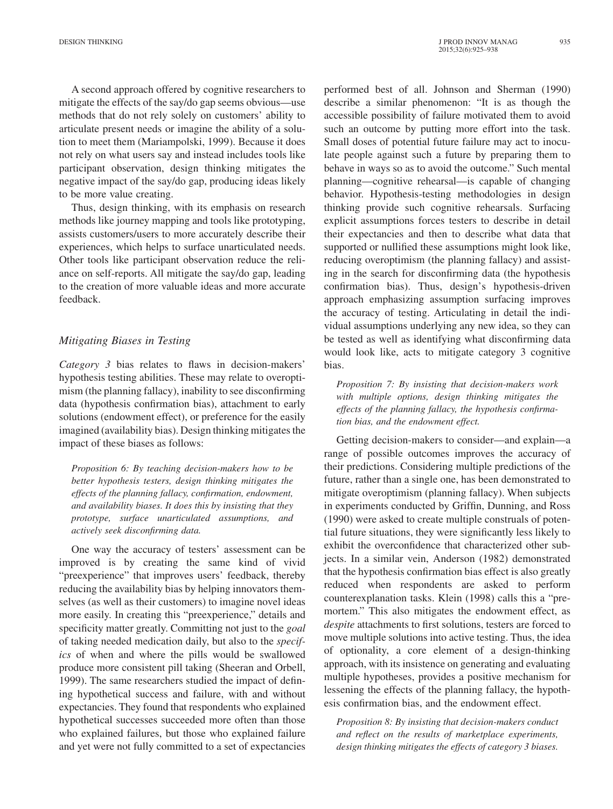A second approach offered by cognitive researchers to mitigate the effects of the say/do gap seems obvious—use methods that do not rely solely on customers' ability to articulate present needs or imagine the ability of a solution to meet them (Mariampolski, 1999). Because it does not rely on what users say and instead includes tools like participant observation, design thinking mitigates the negative impact of the say/do gap, producing ideas likely to be more value creating.

Thus, design thinking, with its emphasis on research methods like journey mapping and tools like prototyping, assists customers/users to more accurately describe their experiences, which helps to surface unarticulated needs. Other tools like participant observation reduce the reliance on self-reports. All mitigate the say/do gap, leading to the creation of more valuable ideas and more accurate feedback.

#### *Mitigating Biases in Testing*

*Category 3* bias relates to flaws in decision-makers' hypothesis testing abilities. These may relate to overoptimism (the planning fallacy), inability to see disconfirming data (hypothesis confirmation bias), attachment to early solutions (endowment effect), or preference for the easily imagined (availability bias). Design thinking mitigates the impact of these biases as follows:

*Proposition 6: By teaching decision-makers how to be better hypothesis testers, design thinking mitigates the effects of the planning fallacy, confirmation, endowment, and availability biases. It does this by insisting that they prototype, surface unarticulated assumptions, and actively seek disconfirming data.*

One way the accuracy of testers' assessment can be improved is by creating the same kind of vivid "preexperience" that improves users' feedback, thereby reducing the availability bias by helping innovators themselves (as well as their customers) to imagine novel ideas more easily. In creating this "preexperience," details and specificity matter greatly. Committing not just to the *goal* of taking needed medication daily, but also to the *specifics* of when and where the pills would be swallowed produce more consistent pill taking (Sheeran and Orbell, 1999). The same researchers studied the impact of defining hypothetical success and failure, with and without expectancies. They found that respondents who explained hypothetical successes succeeded more often than those who explained failures, but those who explained failure and yet were not fully committed to a set of expectancies performed best of all. Johnson and Sherman (1990) describe a similar phenomenon: "It is as though the accessible possibility of failure motivated them to avoid such an outcome by putting more effort into the task. Small doses of potential future failure may act to inoculate people against such a future by preparing them to behave in ways so as to avoid the outcome." Such mental planning—cognitive rehearsal—is capable of changing behavior. Hypothesis-testing methodologies in design thinking provide such cognitive rehearsals. Surfacing explicit assumptions forces testers to describe in detail their expectancies and then to describe what data that supported or nullified these assumptions might look like, reducing overoptimism (the planning fallacy) and assisting in the search for disconfirming data (the hypothesis confirmation bias). Thus, design's hypothesis-driven approach emphasizing assumption surfacing improves the accuracy of testing. Articulating in detail the individual assumptions underlying any new idea, so they can be tested as well as identifying what disconfirming data would look like, acts to mitigate category 3 cognitive bias.

*Proposition 7: By insisting that decision-makers work with multiple options, design thinking mitigates the effects of the planning fallacy, the hypothesis confirmation bias, and the endowment effect.*

Getting decision-makers to consider—and explain—a range of possible outcomes improves the accuracy of their predictions. Considering multiple predictions of the future, rather than a single one, has been demonstrated to mitigate overoptimism (planning fallacy). When subjects in experiments conducted by Griffin, Dunning, and Ross (1990) were asked to create multiple construals of potential future situations, they were significantly less likely to exhibit the overconfidence that characterized other subjects. In a similar vein, Anderson (1982) demonstrated that the hypothesis confirmation bias effect is also greatly reduced when respondents are asked to perform counterexplanation tasks. Klein (1998) calls this a "premortem." This also mitigates the endowment effect, as *despite* attachments to first solutions, testers are forced to move multiple solutions into active testing. Thus, the idea of optionality, a core element of a design-thinking approach, with its insistence on generating and evaluating multiple hypotheses, provides a positive mechanism for lessening the effects of the planning fallacy, the hypothesis confirmation bias, and the endowment effect.

*Proposition 8: By insisting that decision-makers conduct and reflect on the results of marketplace experiments, design thinking mitigates the effects of category 3 biases.*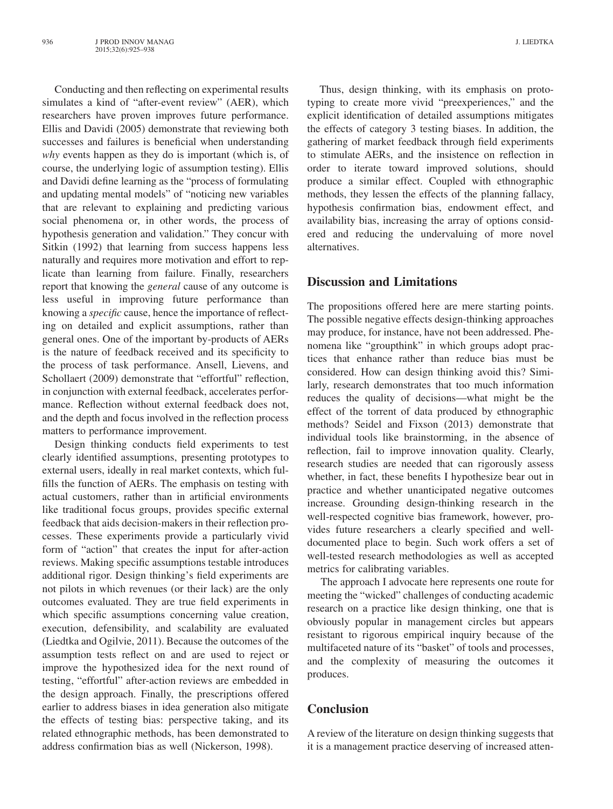Conducting and then reflecting on experimental results simulates a kind of "after-event review" (AER), which researchers have proven improves future performance. Ellis and Davidi (2005) demonstrate that reviewing both successes and failures is beneficial when understanding *why* events happen as they do is important (which is, of course, the underlying logic of assumption testing). Ellis and Davidi define learning as the "process of formulating and updating mental models" of "noticing new variables that are relevant to explaining and predicting various social phenomena or, in other words, the process of hypothesis generation and validation." They concur with Sitkin (1992) that learning from success happens less naturally and requires more motivation and effort to replicate than learning from failure. Finally, researchers report that knowing the *general* cause of any outcome is less useful in improving future performance than knowing a *specific* cause, hence the importance of reflecting on detailed and explicit assumptions, rather than general ones. One of the important by-products of AERs is the nature of feedback received and its specificity to the process of task performance. Ansell, Lievens, and Schollaert (2009) demonstrate that "effortful" reflection, in conjunction with external feedback, accelerates performance. Reflection without external feedback does not, and the depth and focus involved in the reflection process matters to performance improvement.

Design thinking conducts field experiments to test clearly identified assumptions, presenting prototypes to external users, ideally in real market contexts, which fulfills the function of AERs. The emphasis on testing with actual customers, rather than in artificial environments like traditional focus groups, provides specific external feedback that aids decision-makers in their reflection processes. These experiments provide a particularly vivid form of "action" that creates the input for after-action reviews. Making specific assumptions testable introduces additional rigor. Design thinking's field experiments are not pilots in which revenues (or their lack) are the only outcomes evaluated. They are true field experiments in which specific assumptions concerning value creation, execution, defensibility, and scalability are evaluated (Liedtka and Ogilvie, 2011). Because the outcomes of the assumption tests reflect on and are used to reject or improve the hypothesized idea for the next round of testing, "effortful" after-action reviews are embedded in the design approach. Finally, the prescriptions offered earlier to address biases in idea generation also mitigate the effects of testing bias: perspective taking, and its related ethnographic methods, has been demonstrated to address confirmation bias as well (Nickerson, 1998).

Thus, design thinking, with its emphasis on prototyping to create more vivid "preexperiences," and the explicit identification of detailed assumptions mitigates the effects of category 3 testing biases. In addition, the gathering of market feedback through field experiments to stimulate AERs, and the insistence on reflection in order to iterate toward improved solutions, should produce a similar effect. Coupled with ethnographic methods, they lessen the effects of the planning fallacy, hypothesis confirmation bias, endowment effect, and availability bias, increasing the array of options considered and reducing the undervaluing of more novel alternatives.

### **Discussion and Limitations**

The propositions offered here are mere starting points. The possible negative effects design-thinking approaches may produce, for instance, have not been addressed. Phenomena like "groupthink" in which groups adopt practices that enhance rather than reduce bias must be considered. How can design thinking avoid this? Similarly, research demonstrates that too much information reduces the quality of decisions—what might be the effect of the torrent of data produced by ethnographic methods? Seidel and Fixson (2013) demonstrate that individual tools like brainstorming, in the absence of reflection, fail to improve innovation quality. Clearly, research studies are needed that can rigorously assess whether, in fact, these benefits I hypothesize bear out in practice and whether unanticipated negative outcomes increase. Grounding design-thinking research in the well-respected cognitive bias framework, however, provides future researchers a clearly specified and welldocumented place to begin. Such work offers a set of well-tested research methodologies as well as accepted metrics for calibrating variables.

The approach I advocate here represents one route for meeting the "wicked" challenges of conducting academic research on a practice like design thinking, one that is obviously popular in management circles but appears resistant to rigorous empirical inquiry because of the multifaceted nature of its "basket" of tools and processes, and the complexity of measuring the outcomes it produces.

### **Conclusion**

A review of the literature on design thinking suggests that it is a management practice deserving of increased atten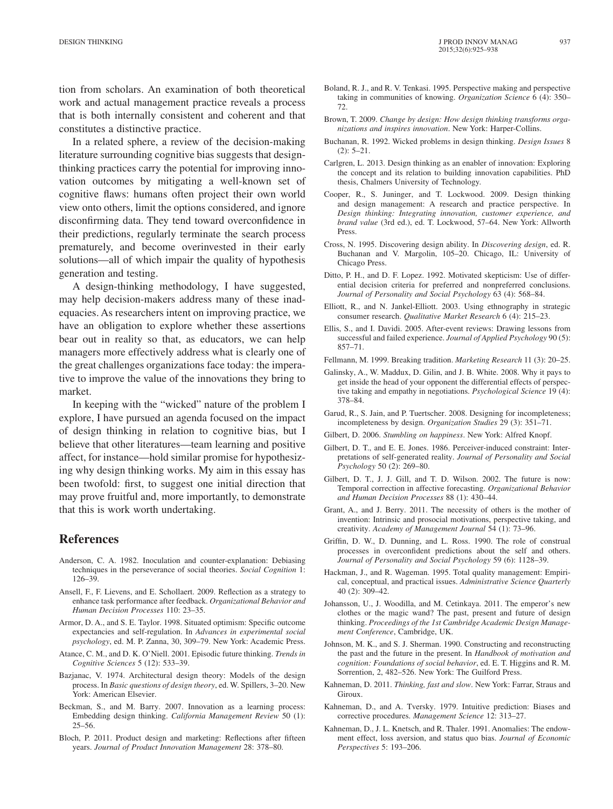tion from scholars. An examination of both theoretical work and actual management practice reveals a process that is both internally consistent and coherent and that constitutes a distinctive practice.

In a related sphere, a review of the decision-making literature surrounding cognitive bias suggests that designthinking practices carry the potential for improving innovation outcomes by mitigating a well-known set of cognitive flaws: humans often project their own world view onto others, limit the options considered, and ignore disconfirming data. They tend toward overconfidence in their predictions, regularly terminate the search process prematurely, and become overinvested in their early solutions—all of which impair the quality of hypothesis generation and testing.

A design-thinking methodology, I have suggested, may help decision-makers address many of these inadequacies. As researchers intent on improving practice, we have an obligation to explore whether these assertions bear out in reality so that, as educators, we can help managers more effectively address what is clearly one of the great challenges organizations face today: the imperative to improve the value of the innovations they bring to market.

In keeping with the "wicked" nature of the problem I explore, I have pursued an agenda focused on the impact of design thinking in relation to cognitive bias, but I believe that other literatures—team learning and positive affect, for instance—hold similar promise for hypothesizing why design thinking works. My aim in this essay has been twofold: first, to suggest one initial direction that may prove fruitful and, more importantly, to demonstrate that this is work worth undertaking.

#### **References**

- Anderson, C. A. 1982. Inoculation and counter-explanation: Debiasing techniques in the perseverance of social theories. *Social Cognition* 1: 126–39.
- Ansell, F., F. Lievens, and E. Schollaert. 2009. Reflection as a strategy to enhance task performance after feedback. *Organizational Behavior and Human Decision Processes* 110: 23–35.
- Armor, D. A., and S. E. Taylor. 1998. Situated optimism: Specific outcome expectancies and self-regulation. In *Advances in experimental social psychology*, ed. M. P. Zanna, 30, 309–79. New York: Academic Press.
- Atance, C. M., and D. K. O'Niell. 2001. Episodic future thinking. *Trends in Cognitive Sciences* 5 (12): 533–39.
- Bazjanac, V. 1974. Architectural design theory: Models of the design process. In *Basic questions of design theory*, ed. W. Spillers, 3–20. New York: American Elsevier.
- Beckman, S., and M. Barry. 2007. Innovation as a learning process: Embedding design thinking. *California Management Review* 50 (1): 25–56.
- Bloch, P. 2011. Product design and marketing: Reflections after fifteen years. *Journal of Product Innovation Management* 28: 378–80.
- Boland, R. J., and R. V. Tenkasi. 1995. Perspective making and perspective taking in communities of knowing. *Organization Science* 6 (4): 350– 72.
- Brown, T. 2009. *Change by design: How design thinking transforms organizations and inspires innovation*. New York: Harper-Collins.
- Buchanan, R. 1992. Wicked problems in design thinking. *Design Issues* 8 (2): 5–21.
- Carlgren, L. 2013. Design thinking as an enabler of innovation: Exploring the concept and its relation to building innovation capabilities. PhD thesis, Chalmers University of Technology.
- Cooper, R., S. Juninger, and T. Lockwood. 2009. Design thinking and design management: A research and practice perspective. In *Design thinking: Integrating innovation, customer experience, and brand value* (3rd ed.), ed. T. Lockwood, 57–64. New York: Allworth Press.
- Cross, N. 1995. Discovering design ability. In *Discovering design*, ed. R. Buchanan and V. Margolin, 105–20. Chicago, IL: University of Chicago Press.
- Ditto, P. H., and D. F. Lopez. 1992. Motivated skepticism: Use of differential decision criteria for preferred and nonpreferred conclusions. *Journal of Personality and Social Psychology* 63 (4): 568–84.
- Elliott, R., and N. Jankel-Elliott. 2003. Using ethnography in strategic consumer research. *Qualitative Market Research* 6 (4): 215–23.
- Ellis, S., and I. Davidi. 2005. After-event reviews: Drawing lessons from successful and failed experience. *Journal of Applied Psychology* 90 (5): 857–71.
- Fellmann, M. 1999. Breaking tradition. *Marketing Research* 11 (3): 20–25.
- Galinsky, A., W. Maddux, D. Gilin, and J. B. White. 2008. Why it pays to get inside the head of your opponent the differential effects of perspective taking and empathy in negotiations. *Psychological Science* 19 (4): 378–84.
- Garud, R., S. Jain, and P. Tuertscher. 2008. Designing for incompleteness; incompleteness by design. *Organization Studies* 29 (3): 351–71.
- Gilbert, D. 2006. *Stumbling on happiness*. New York: Alfred Knopf.
- Gilbert, D. T., and E. E. Jones. 1986. Perceiver-induced constraint: Interpretations of self-generated reality. *Journal of Personality and Social Psychology* 50 (2): 269–80.
- Gilbert, D. T., J. J. Gill, and T. D. Wilson. 2002. The future is now: Temporal correction in affective forecasting. *Organizational Behavior and Human Decision Processes* 88 (1): 430–44.
- Grant, A., and J. Berry. 2011. The necessity of others is the mother of invention: Intrinsic and prosocial motivations, perspective taking, and creativity. *Academy of Management Journal* 54 (1): 73–96.
- Griffin, D. W., D. Dunning, and L. Ross. 1990. The role of construal processes in overconfident predictions about the self and others. *Journal of Personality and Social Psychology* 59 (6): 1128–39.
- Hackman, J., and R. Wageman. 1995. Total quality management: Empirical, conceptual, and practical issues. *Administrative Science Quarterly* 40 (2): 309–42.
- Johansson, U., J. Woodilla, and M. Cetinkaya. 2011. The emperor's new clothes or the magic wand? The past, present and future of design thinking. *Proceedings of the 1st Cambridge Academic Design Management Conference*, Cambridge, UK.
- Johnson, M. K., and S. J. Sherman. 1990. Constructing and reconstructing the past and the future in the present. In *Handbook of motivation and cognition: Foundations of social behavior*, ed. E. T. Higgins and R. M. Sorrention, 2, 482–526. New York: The Guilford Press.
- Kahneman, D. 2011. *Thinking, fast and slow*. New York: Farrar, Straus and Giroux.
- Kahneman, D., and A. Tversky. 1979. Intuitive prediction: Biases and corrective procedures. *Management Science* 12: 313–27.
- Kahneman, D., J. L. Knetsch, and R. Thaler. 1991. Anomalies: The endowment effect, loss aversion, and status quo bias. *Journal of Economic Perspectives* 5: 193–206.